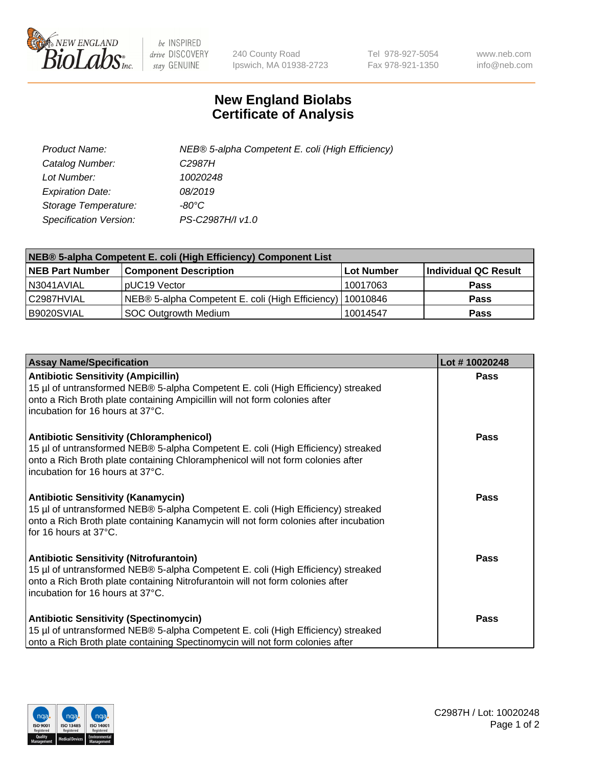

 $be$  INSPIRED drive DISCOVERY stay GENUINE

240 County Road Ipswich, MA 01938-2723 Tel 978-927-5054 Fax 978-921-1350 www.neb.com info@neb.com

## **New England Biolabs Certificate of Analysis**

| Product Name:           | NEB® 5-alpha Competent E. coli (High Efficiency) |
|-------------------------|--------------------------------------------------|
| Catalog Number:         | C <sub>2987</sub> H                              |
| Lot Number:             | 10020248                                         |
| <b>Expiration Date:</b> | 08/2019                                          |
| Storage Temperature:    | -80°C                                            |
| Specification Version:  | PS-C2987H/I v1.0                                 |

| NEB® 5-alpha Competent E. coli (High Efficiency) Component List |                                                             |            |                      |  |
|-----------------------------------------------------------------|-------------------------------------------------------------|------------|----------------------|--|
| <b>NEB Part Number</b>                                          | <b>Component Description</b>                                | Lot Number | Individual QC Result |  |
| N3041AVIAL                                                      | pUC19 Vector                                                | 10017063   | Pass                 |  |
| C2987HVIAL                                                      | NEB® 5-alpha Competent E. coli (High Efficiency)   10010846 |            | <b>Pass</b>          |  |
| B9020SVIAL                                                      | <b>SOC Outgrowth Medium</b>                                 | 10014547   | <b>Pass</b>          |  |

| <b>Assay Name/Specification</b>                                                                                                                                                                                                                            | Lot #10020248 |
|------------------------------------------------------------------------------------------------------------------------------------------------------------------------------------------------------------------------------------------------------------|---------------|
| <b>Antibiotic Sensitivity (Ampicillin)</b><br>15 µl of untransformed NEB® 5-alpha Competent E. coli (High Efficiency) streaked<br>onto a Rich Broth plate containing Ampicillin will not form colonies after<br>incubation for 16 hours at 37°C.           | Pass          |
| <b>Antibiotic Sensitivity (Chloramphenicol)</b><br>15 µl of untransformed NEB® 5-alpha Competent E. coli (High Efficiency) streaked<br>onto a Rich Broth plate containing Chloramphenicol will not form colonies after<br>incubation for 16 hours at 37°C. | <b>Pass</b>   |
| <b>Antibiotic Sensitivity (Kanamycin)</b><br>15 µl of untransformed NEB® 5-alpha Competent E. coli (High Efficiency) streaked<br>onto a Rich Broth plate containing Kanamycin will not form colonies after incubation<br>for 16 hours at 37°C.             | Pass          |
| <b>Antibiotic Sensitivity (Nitrofurantoin)</b><br>15 µl of untransformed NEB® 5-alpha Competent E. coli (High Efficiency) streaked<br>onto a Rich Broth plate containing Nitrofurantoin will not form colonies after<br>incubation for 16 hours at 37°C.   | Pass          |
| <b>Antibiotic Sensitivity (Spectinomycin)</b><br>15 µl of untransformed NEB® 5-alpha Competent E. coli (High Efficiency) streaked<br>onto a Rich Broth plate containing Spectinomycin will not form colonies after                                         | Pass          |